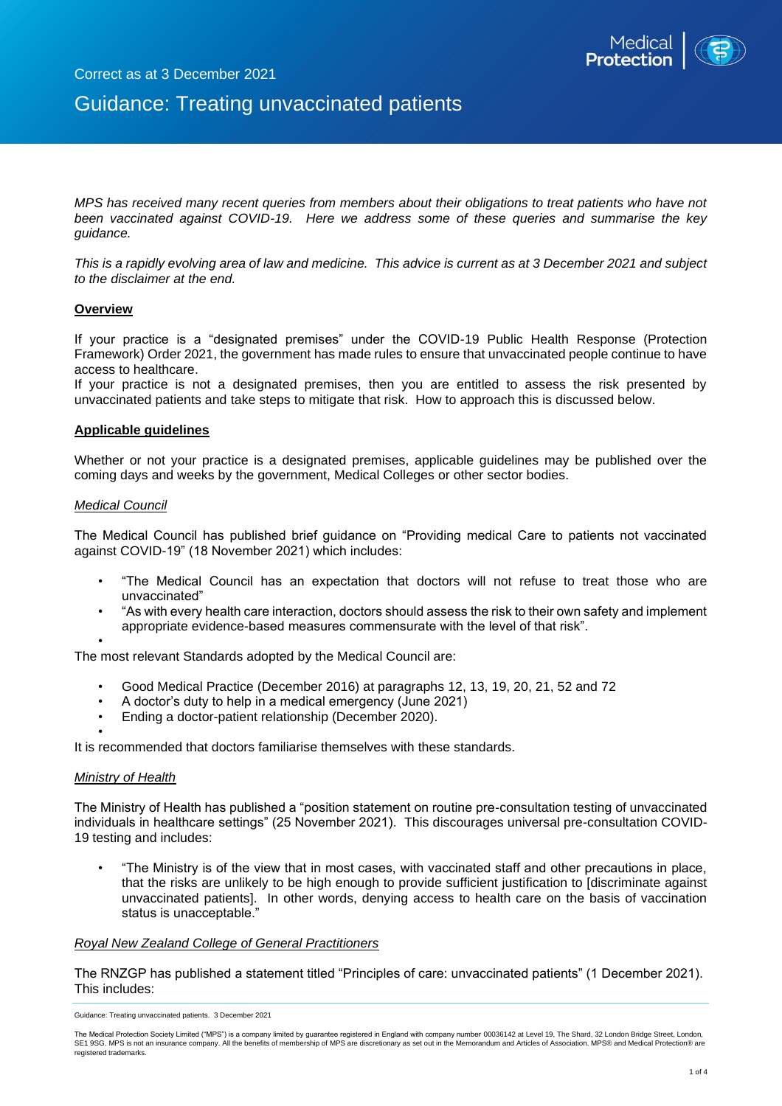

# Guidance: Treating unvaccinated patients

*MPS has received many recent queries from members about their obligations to treat patients who have not been vaccinated against COVID-19. Here we address some of these queries and summarise the key guidance.*

*This is a rapidly evolving area of law and medicine. This advice is current as at 3 December 2021 and subject to the disclaimer at the end.* 

## **Overview**

If your practice is a "designated premises" under the COVID-19 Public Health Response (Protection Framework) Order 2021, the government has made rules to ensure that unvaccinated people continue to have access to healthcare.

If your practice is not a designated premises, then you are entitled to assess the risk presented by unvaccinated patients and take steps to mitigate that risk. How to approach this is discussed below.

## **Applicable guidelines**

Whether or not your practice is a designated premises, applicable guidelines may be published over the coming days and weeks by the government, Medical Colleges or other sector bodies.

#### *Medical Council*

The Medical Council has published brief guidance on "Providing medical Care to patients not vaccinated against COVID-19" (18 November 2021) which includes:

- "The Medical Council has an expectation that doctors will not refuse to treat those who are unvaccinated"
- "As with every health care interaction, doctors should assess the risk to their own safety and implement appropriate evidence-based measures commensurate with the level of that risk".

• The most relevant Standards adopted by the Medical Council are:

- Good Medical Practice (December 2016) at paragraphs 12, 13, 19, 20, 21, 52 and 72
- A doctor's duty to help in a medical emergency (June 2021)
- Ending a doctor-patient relationship (December 2020).

• It is recommended that doctors familiarise themselves with these standards.

## *Ministry of Health*

The Ministry of Health has published a "position statement on routine pre-consultation testing of unvaccinated individuals in healthcare settings" (25 November 2021). This discourages universal pre-consultation COVID-19 testing and includes:

• "The Ministry is of the view that in most cases, with vaccinated staff and other precautions in place, that the risks are unlikely to be high enough to provide sufficient justification to [discriminate against unvaccinated patients]. In other words, denying access to health care on the basis of vaccination status is unacceptable."

#### *Royal New Zealand College of General Practitioners*

The RNZGP has published a statement titled "Principles of care: unvaccinated patients" (1 December 2021). This includes:

Guidance: Treating unvaccinated patients. 3 December 2021

The Medical Protection Society Limited ("MPS") is a company limited by guarantee registered in England with company number 00036142 at Level 19, The Shard, 32 London Bridge Street, London,<br>SE1 9SG. MPS is not an insurance registered trademarks.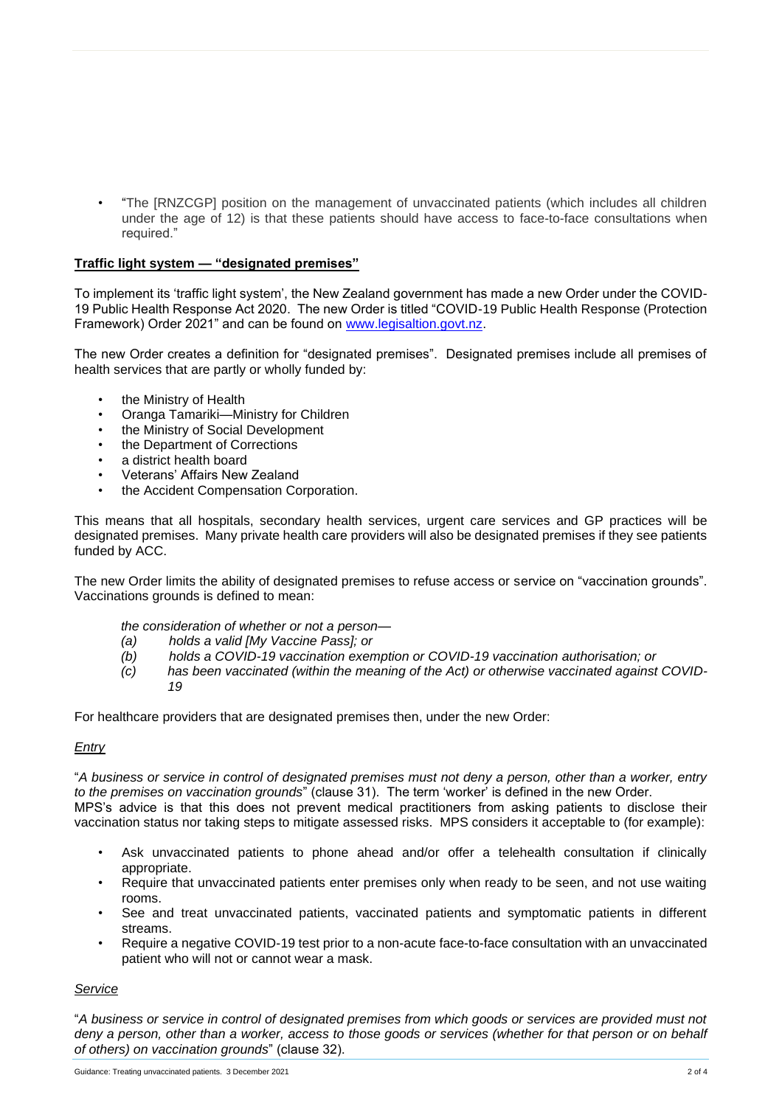• "The [RNZCGP] position on the management of unvaccinated patients (which includes all children under the age of 12) is that these patients should have access to face-to-face consultations when required."

## **Traffic light system — "designated premises"**

To implement its 'traffic light system', the New Zealand government has made a new Order under the COVID-19 Public Health Response Act 2020. The new Order is titled "COVID-19 Public Health Response (Protection Framework) Order 2021" and can be found on [www.legisaltion.govt.nz.](http://www.legisaltion.govt.nz/)

The new Order creates a definition for "designated premises". Designated premises include all premises of health services that are partly or wholly funded by:

- the Ministry of Health
- Oranga Tamariki—Ministry for Children
- the Ministry of Social Development
- the Department of Corrections
- a district health board
- Veterans' Affairs New Zealand
- the Accident Compensation Corporation.

This means that all hospitals, secondary health services, urgent care services and GP practices will be designated premises. Many private health care providers will also be designated premises if they see patients funded by ACC.

The new Order limits the ability of designated premises to refuse access or service on "vaccination grounds". Vaccinations grounds is defined to mean:

*the consideration of whether or not a person—*

- *(a) holds a valid [My Vaccine Pass]; or*
- *(b) holds a COVID-19 vaccination exemption or COVID-19 vaccination authorisation; or*
- *(c) has been vaccinated (within the meaning of the Act) or otherwise vaccinated against COVID-19*

For healthcare providers that are designated premises then, under the new Order:

## *Entry*

"*A business or service in control of designated premises must not deny a person, other than a worker, entry to the premises on vaccination grounds*" (clause 31). The term 'worker' is defined in the new Order. MPS's advice is that this does not prevent medical practitioners from asking patients to disclose their vaccination status nor taking steps to mitigate assessed risks. MPS considers it acceptable to (for example):

- Ask unvaccinated patients to phone ahead and/or offer a telehealth consultation if clinically appropriate.
- Require that unvaccinated patients enter premises only when ready to be seen, and not use waiting rooms.
- See and treat unvaccinated patients, vaccinated patients and symptomatic patients in different streams.
- Require a negative COVID-19 test prior to a non-acute face-to-face consultation with an unvaccinated patient who will not or cannot wear a mask.

# *Service*

"*A business or service in control of designated premises from which goods or services are provided must not deny a person, other than a worker, access to those goods or services (whether for that person or on behalf of others) on vaccination grounds*" (clause 32).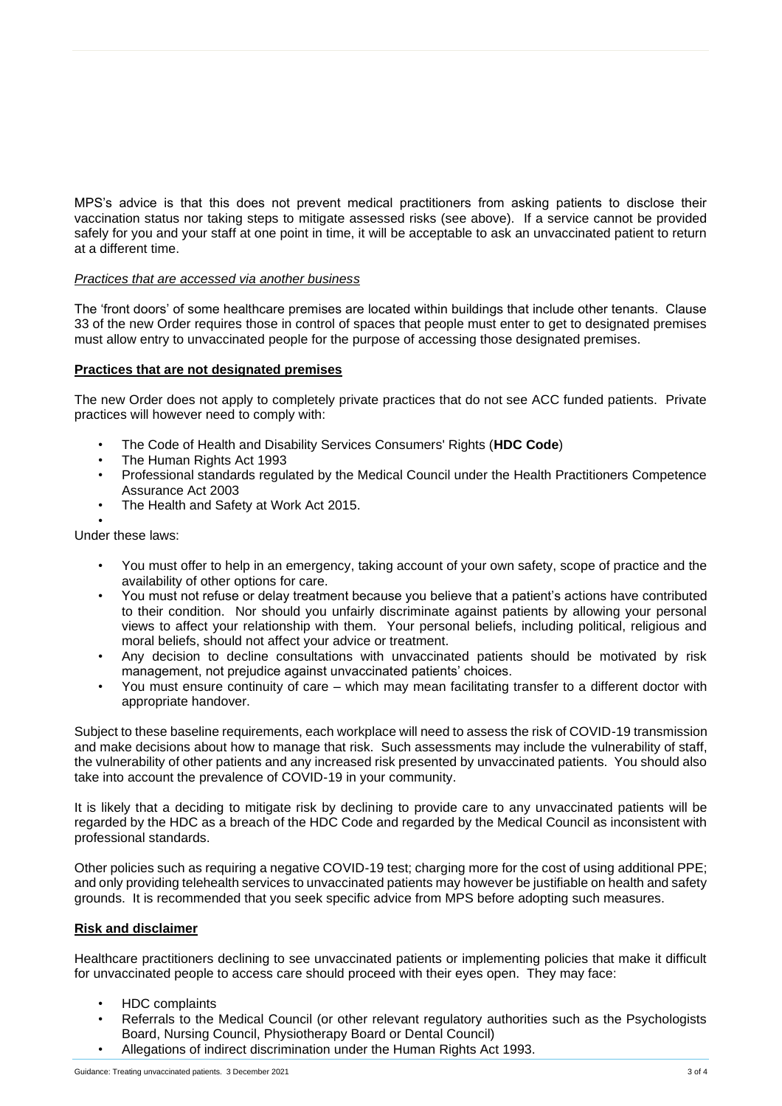MPS's advice is that this does not prevent medical practitioners from asking patients to disclose their vaccination status nor taking steps to mitigate assessed risks (see above). If a service cannot be provided safely for you and your staff at one point in time, it will be acceptable to ask an unvaccinated patient to return at a different time.

## *Practices that are accessed via another business*

The 'front doors' of some healthcare premises are located within buildings that include other tenants. Clause 33 of the new Order requires those in control of spaces that people must enter to get to designated premises must allow entry to unvaccinated people for the purpose of accessing those designated premises.

## **Practices that are not designated premises**

The new Order does not apply to completely private practices that do not see ACC funded patients. Private practices will however need to comply with:

- The Code of Health and Disability Services Consumers' Rights (**HDC Code**)
- The Human Rights Act 1993
- Professional standards regulated by the Medical Council under the Health Practitioners Competence Assurance Act 2003
- The Health and Safety at Work Act 2015.

• Under these laws:

- You must offer to help in an emergency, taking account of your own safety, scope of practice and the availability of other options for care.
- You must not refuse or delay treatment because you believe that a patient's actions have contributed to their condition. Nor should you unfairly discriminate against patients by allowing your personal views to affect your relationship with them. Your personal beliefs, including political, religious and moral beliefs, should not affect your advice or treatment.
- Any decision to decline consultations with unvaccinated patients should be motivated by risk management, not prejudice against unvaccinated patients' choices.
- You must ensure continuity of care which may mean facilitating transfer to a different doctor with appropriate handover.

Subject to these baseline requirements, each workplace will need to assess the risk of COVID-19 transmission and make decisions about how to manage that risk. Such assessments may include the vulnerability of staff, the vulnerability of other patients and any increased risk presented by unvaccinated patients. You should also take into account the prevalence of COVID-19 in your community.

It is likely that a deciding to mitigate risk by declining to provide care to any unvaccinated patients will be regarded by the HDC as a breach of the HDC Code and regarded by the Medical Council as inconsistent with professional standards.

Other policies such as requiring a negative COVID-19 test; charging more for the cost of using additional PPE; and only providing telehealth services to unvaccinated patients may however be justifiable on health and safety grounds. It is recommended that you seek specific advice from MPS before adopting such measures.

## **Risk and disclaimer**

Healthcare practitioners declining to see unvaccinated patients or implementing policies that make it difficult for unvaccinated people to access care should proceed with their eyes open. They may face:

- HDC complaints
- Referrals to the Medical Council (or other relevant regulatory authorities such as the Psychologists Board, Nursing Council, Physiotherapy Board or Dental Council)
- Allegations of indirect discrimination under the Human Rights Act 1993.